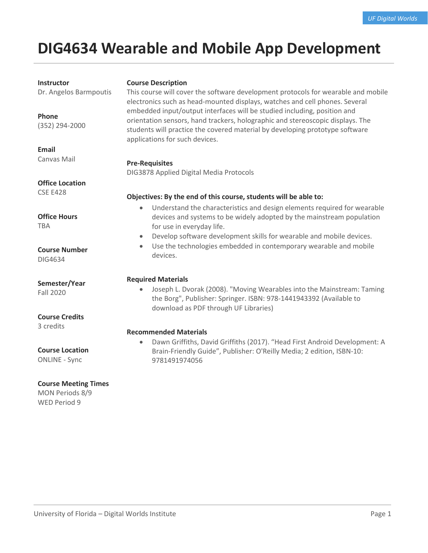# **DIG4634 Wearable and Mobile App Development**

#### **Instructor**

Dr. Angelos Barmpoutis

## **Phone** (352) 294-2000

**Email** Canvas Mail

**Office Location** CSE E428

**Office Hours** TBA

# **Course Number**

DIG4634

# **Semester/Year**

Fall 2020

### **Course Credits**

3 credits

### **Course Location**

ONLINE - Sync

### **Course Meeting Times**

MON Periods 8/9 WED Period 9

### **Course Description**

This course will cover the software development protocols for wearable and mobile electronics such as head-mounted displays, watches and cell phones. Several embedded input/output interfaces will be studied including, position and orientation sensors, hand trackers, holographic and stereoscopic displays. The students will practice the covered material by developing prototype software applications for such devices.

### **Pre-Requisites**

DIG3878 Applied Digital Media Protocols

### **Objectives: By the end of this course, students will be able to:**

- Understand the characteristics and design elements required for wearable devices and systems to be widely adopted by the mainstream population for use in everyday life.
- Develop software development skills for wearable and mobile devices.
- Use the technologies embedded in contemporary wearable and mobile devices.

### **Required Materials**

• Joseph L. Dvorak (2008). "Moving Wearables into the Mainstream: Taming the Borg", Publisher: Springer. ISBN: 978-1441943392 (Available to download as PDF through UF Libraries)

# **Recommended Materials**

• Dawn Griffiths, David Griffiths (2017). "Head First Android Development: A Brain-Friendly Guide", Publisher: O'Reilly Media; 2 edition, ISBN-10: 9781491974056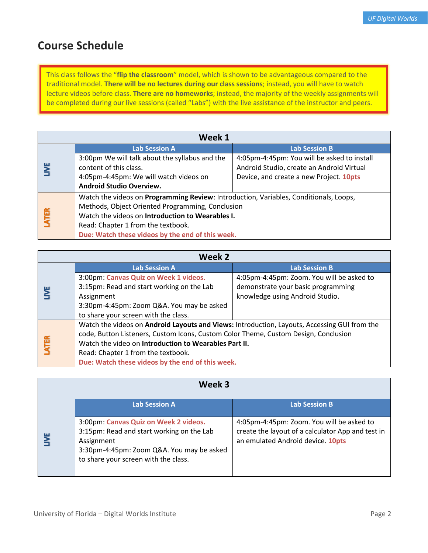# **Course Schedule**

This class follows the "**flip the classroom**" model, which is shown to be advantageous compared to the traditional model. **There will be no lectures during our class sessions**; instead, you will have to watch lecture videos before class. **There are no homeworks**; instead, the majority of the weekly assignments will be completed during our live sessions (called "Labs") with the live assistance of the instructor and peers.

| Week 1                                                                                        |                                                  |                                             |
|-----------------------------------------------------------------------------------------------|--------------------------------------------------|---------------------------------------------|
|                                                                                               | <b>Lab Session A</b>                             | <b>Lab Session B</b>                        |
|                                                                                               | 3:00pm We will talk about the syllabus and the   | 4:05pm-4:45pm: You will be asked to install |
|                                                                                               | content of this class.                           | Android Studio, create an Android Virtual   |
|                                                                                               | 4:05pm-4:45pm: We will watch videos on           | Device, and create a new Project. 10pts     |
|                                                                                               | <b>Android Studio Overview.</b>                  |                                             |
| Watch the videos on <b>Programming Review</b> : Introduction, Variables, Conditionals, Loops, |                                                  |                                             |
|                                                                                               | Methods, Object Oriented Programming, Conclusion |                                             |
| <b>ATER</b><br>Watch the videos on Introduction to Wearables I.                               |                                                  |                                             |
|                                                                                               | Read: Chapter 1 from the textbook.               |                                             |
|                                                                                               | Due: Watch these videos by the end of this week. |                                             |

| Week 2      |                                                                                              |                                           |
|-------------|----------------------------------------------------------------------------------------------|-------------------------------------------|
|             | <b>Lab Session A</b>                                                                         | <b>Lab Session B</b>                      |
|             | 3:00pm: Canvas Quiz on Week 1 videos.                                                        | 4:05pm-4:45pm: Zoom. You will be asked to |
|             | 3:15pm: Read and start working on the Lab                                                    | demonstrate your basic programming        |
|             | Assignment                                                                                   | knowledge using Android Studio.           |
|             | 3:30pm-4:45pm: Zoom Q&A. You may be asked                                                    |                                           |
|             | to share your screen with the class.                                                         |                                           |
|             | Watch the videos on Android Layouts and Views: Introduction, Layouts, Accessing GUI from the |                                           |
|             | code, Button Listeners, Custom Icons, Custom Color Theme, Custom Design, Conclusion          |                                           |
| <b>ATER</b> | Watch the video on Introduction to Wearables Part II.                                        |                                           |
|             | Read: Chapter 1 from the textbook.                                                           |                                           |
|             | Due: Watch these videos by the end of this week.                                             |                                           |

| Week 3                                                                                                                                                                                |                                                                                                                                     |
|---------------------------------------------------------------------------------------------------------------------------------------------------------------------------------------|-------------------------------------------------------------------------------------------------------------------------------------|
| <b>Lab Session A</b>                                                                                                                                                                  | <b>Lab Session B</b>                                                                                                                |
| 3:00pm: Canvas Quiz on Week 2 videos.<br>3:15pm: Read and start working on the Lab<br>Assignment<br>3:30pm-4:45pm: Zoom Q&A. You may be asked<br>to share your screen with the class. | 4:05pm-4:45pm: Zoom. You will be asked to<br>create the layout of a calculator App and test in<br>an emulated Android device. 10pts |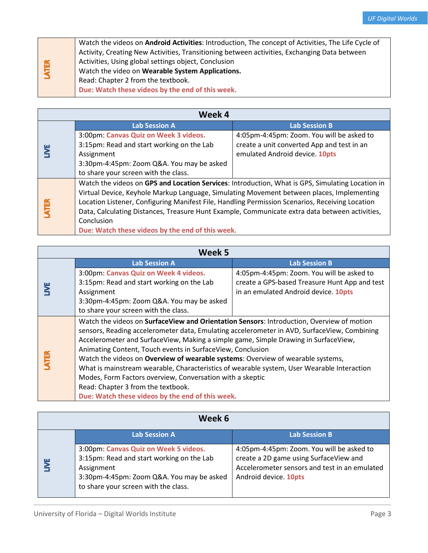|       | Watch the videos on Android Activities: Introduction, The concept of Activities, The Life Cycle of |
|-------|----------------------------------------------------------------------------------------------------|
|       | Activity, Creating New Activities, Transitioning between activities, Exchanging Data between       |
|       | Activities, Using global settings object, Conclusion                                               |
| LATER | Watch the video on Wearable System Applications.                                                   |
|       | Read: Chapter 2 from the textbook.                                                                 |
|       | Due: Watch these videos by the end of this week.                                                   |

| Week 4 |                                                                                                  |                                            |
|--------|--------------------------------------------------------------------------------------------------|--------------------------------------------|
|        | <b>Lab Session A</b>                                                                             | <b>Lab Session B</b>                       |
|        | 3:00pm: Canvas Quiz on Week 3 videos.                                                            | 4:05pm-4:45pm: Zoom. You will be asked to  |
|        | 3:15pm: Read and start working on the Lab                                                        | create a unit converted App and test in an |
|        | Assignment                                                                                       | emulated Android device. 10pts             |
|        | 3:30pm-4:45pm: Zoom Q&A. You may be asked                                                        |                                            |
|        | to share your screen with the class.                                                             |                                            |
|        | Watch the videos on GPS and Location Services: Introduction, What is GPS, Simulating Location in |                                            |
|        | Virtual Device, Keyhole Markup Language, Simulating Movement between places, Implementing        |                                            |
| 區      | Location Listener, Configuring Manifest File, Handling Permission Scenarios, Receiving Location  |                                            |
|        | Data, Calculating Distances, Treasure Hunt Example, Communicate extra data between activities,   |                                            |
|        | Conclusion                                                                                       |                                            |
|        | Due: Watch these videos by the end of this week.                                                 |                                            |

| Week 5      |                                                                                             |                                               |
|-------------|---------------------------------------------------------------------------------------------|-----------------------------------------------|
|             | <b>Lab Session A</b>                                                                        | <b>Lab Session B</b>                          |
|             | 3:00pm: Canvas Quiz on Week 4 videos.                                                       | 4:05pm-4:45pm: Zoom. You will be asked to     |
|             | 3:15pm: Read and start working on the Lab                                                   | create a GPS-based Treasure Hunt App and test |
|             | Assignment                                                                                  | in an emulated Android device. 10pts          |
|             | 3:30pm-4:45pm: Zoom Q&A. You may be asked                                                   |                                               |
|             | to share your screen with the class.                                                        |                                               |
|             | Watch the videos on SurfaceView and Orientation Sensors: Introduction, Overview of motion   |                                               |
|             | sensors, Reading accelerometer data, Emulating accelerometer in AVD, SurfaceView, Combining |                                               |
|             | Accelerometer and SurfaceView, Making a simple game, Simple Drawing in SurfaceView,         |                                               |
|             | Animating Content, Touch events in SurfaceView, Conclusion                                  |                                               |
| <b>VTER</b> | Watch the videos on Overview of wearable systems: Overview of wearable systems,             |                                               |
|             | What is mainstream wearable, Characteristics of wearable system, User Wearable Interaction  |                                               |
|             | Modes, Form Factors overview, Conversation with a skeptic                                   |                                               |
|             | Read: Chapter 3 from the textbook.                                                          |                                               |
|             | Due: Watch these videos by the end of this week.                                            |                                               |

| Week 6                                                                                                                                                                                |                                                                                                                                                               |
|---------------------------------------------------------------------------------------------------------------------------------------------------------------------------------------|---------------------------------------------------------------------------------------------------------------------------------------------------------------|
| <b>Lab Session A</b>                                                                                                                                                                  | <b>Lab Session B</b>                                                                                                                                          |
| 3:00pm: Canvas Quiz on Week 5 videos.<br>3:15pm: Read and start working on the Lab<br>Assignment<br>3:30pm-4:45pm: Zoom Q&A. You may be asked<br>to share your screen with the class. | 4:05pm-4:45pm: Zoom. You will be asked to<br>create a 2D game using SurfaceView and<br>Accelerometer sensors and test in an emulated<br>Android device. 10pts |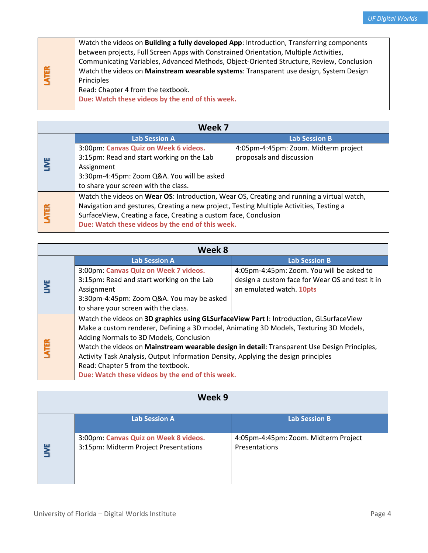|             | Watch the videos on <b>Building a fully developed App:</b> Introduction, Transferring components |
|-------------|--------------------------------------------------------------------------------------------------|
| <b>ATER</b> | between projects, Full Screen Apps with Constrained Orientation, Multiple Activities,            |
|             | Communicating Variables, Advanced Methods, Object-Oriented Structure, Review, Conclusion         |
|             | Watch the videos on Mainstream wearable systems: Transparent use design, System Design           |
|             | Principles                                                                                       |
|             | Read: Chapter 4 from the textbook.                                                               |
|             | Due: Watch these videos by the end of this week.                                                 |

| Week 7      |                                                                                           |                                      |
|-------------|-------------------------------------------------------------------------------------------|--------------------------------------|
|             | <b>Lab Session A</b>                                                                      | <b>Lab Session B</b>                 |
|             | 3:00pm: Canvas Quiz on Week 6 videos.                                                     | 4:05pm-4:45pm: Zoom. Midterm project |
|             | 3:15pm: Read and start working on the Lab                                                 | proposals and discussion             |
|             | Assignment                                                                                |                                      |
|             | 3:30pm-4:45pm: Zoom Q&A. You will be asked                                                |                                      |
|             | to share your screen with the class.                                                      |                                      |
|             | Watch the videos on Wear OS: Introduction, Wear OS, Creating and running a virtual watch, |                                      |
|             | Navigation and gestures, Creating a new project, Testing Multiple Activities, Testing a   |                                      |
| <b>ATER</b> | SurfaceView, Creating a face, Creating a custom face, Conclusion                          |                                      |
|             | Due: Watch these videos by the end of this week.                                          |                                      |

| Week 8      |                                                                                              |                                                 |
|-------------|----------------------------------------------------------------------------------------------|-------------------------------------------------|
|             | <b>Lab Session A</b>                                                                         | <b>Lab Session B</b>                            |
|             | 3:00pm: Canvas Quiz on Week 7 videos.                                                        | 4:05pm-4:45pm: Zoom. You will be asked to       |
|             | 3:15pm: Read and start working on the Lab                                                    | design a custom face for Wear OS and test it in |
|             | Assignment                                                                                   | an emulated watch. 10pts                        |
|             | 3:30pm-4:45pm: Zoom Q&A. You may be asked                                                    |                                                 |
|             | to share your screen with the class.                                                         |                                                 |
|             | Watch the videos on 3D graphics using GLSurfaceView Part I: Introduction, GLSurfaceView      |                                                 |
|             | Make a custom renderer, Defining a 3D model, Animating 3D Models, Texturing 3D Models,       |                                                 |
|             | Adding Normals to 3D Models, Conclusion                                                      |                                                 |
| <b>ATER</b> | Watch the videos on Mainstream wearable design in detail: Transparent Use Design Principles, |                                                 |
|             | Activity Task Analysis, Output Information Density, Applying the design principles           |                                                 |
|             | Read: Chapter 5 from the textbook.                                                           |                                                 |
|             | Due: Watch these videos by the end of this week.                                             |                                                 |

| Week 9                                                                         |                                                       |
|--------------------------------------------------------------------------------|-------------------------------------------------------|
| <b>Lab Session A</b>                                                           | <b>Lab Session B</b>                                  |
| 3:00pm: Canvas Quiz on Week 8 videos.<br>3:15pm: Midterm Project Presentations | 4:05pm-4:45pm: Zoom. Midterm Project<br>Presentations |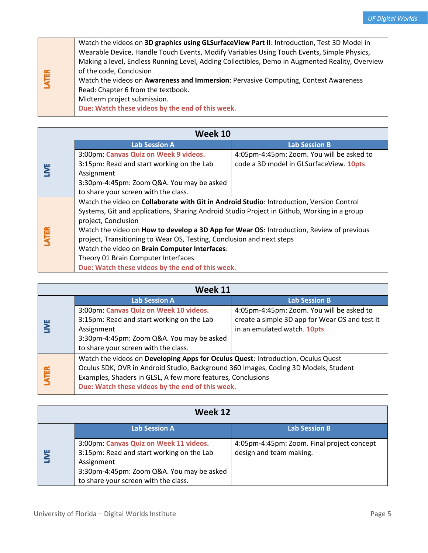|             | Watch the videos on 3D graphics using GLSurfaceView Part II: Introduction, Test 3D Model in     |
|-------------|-------------------------------------------------------------------------------------------------|
|             | Wearable Device, Handle Touch Events, Modify Variables Using Touch Events, Simple Physics,      |
|             | Making a level, Endless Running Level, Adding Collectibles, Demo in Augmented Reality, Overview |
|             | of the code, Conclusion                                                                         |
| <b>ATER</b> | Watch the videos on Awareness and Immersion: Pervasive Computing, Context Awareness             |
|             | Read: Chapter 6 from the textbook.                                                              |
|             | Midterm project submission.                                                                     |
|             | Due: Watch these videos by the end of this week.                                                |
|             |                                                                                                 |

| Week 10     |                                                                                                  |                                           |  |
|-------------|--------------------------------------------------------------------------------------------------|-------------------------------------------|--|
|             | <b>Lab Session A</b>                                                                             | <b>Lab Session B</b>                      |  |
|             | 3:00pm: Canvas Quiz on Week 9 videos.                                                            | 4:05pm-4:45pm: Zoom. You will be asked to |  |
|             | 3:15pm: Read and start working on the Lab                                                        | code a 3D model in GLSurfaceView. 10pts   |  |
|             | Assignment                                                                                       |                                           |  |
|             | 3:30pm-4:45pm: Zoom Q&A. You may be asked                                                        |                                           |  |
|             | to share your screen with the class.                                                             |                                           |  |
|             | Watch the video on Collaborate with Git in Android Studio: Introduction, Version Control         |                                           |  |
|             | Systems, Git and applications, Sharing Android Studio Project in Github, Working in a group      |                                           |  |
|             | project, Conclusion                                                                              |                                           |  |
|             | Watch the video on <b>How to develop a 3D App for Wear OS</b> : Introduction, Review of previous |                                           |  |
| <b>ATER</b> | project, Transitioning to Wear OS, Testing, Conclusion and next steps                            |                                           |  |
|             | Watch the video on Brain Computer Interfaces:                                                    |                                           |  |
|             | Theory 01 Brain Computer Interfaces                                                              |                                           |  |
|             | Due: Watch these videos by the end of this week.                                                 |                                           |  |

| Week 11 |                                                                                                                                                                                                                                                                                            |                                                                                                                            |  |
|---------|--------------------------------------------------------------------------------------------------------------------------------------------------------------------------------------------------------------------------------------------------------------------------------------------|----------------------------------------------------------------------------------------------------------------------------|--|
|         | <b>Lab Session A</b>                                                                                                                                                                                                                                                                       | <b>Lab Session B</b>                                                                                                       |  |
|         | 3:00pm: Canvas Quiz on Week 10 videos.<br>3:15pm: Read and start working on the Lab<br>Assignment<br>3:30pm-4:45pm: Zoom Q&A. You may be asked<br>to share your screen with the class.                                                                                                     | 4:05pm-4:45pm: Zoom. You will be asked to<br>create a simple 3D app for Wear OS and test it<br>in an emulated watch. 10pts |  |
| LATER   | Watch the videos on Developing Apps for Oculus Quest: Introduction, Oculus Quest<br>Oculus SDK, OVR in Android Studio, Background 360 Images, Coding 3D Models, Student<br>Examples, Shaders in GLSL, A few more features, Conclusions<br>Due: Watch these videos by the end of this week. |                                                                                                                            |  |

| Week 12 |                                                                                                                                                                                        |                                                                       |  |
|---------|----------------------------------------------------------------------------------------------------------------------------------------------------------------------------------------|-----------------------------------------------------------------------|--|
|         | <b>Lab Session A</b>                                                                                                                                                                   | <b>Lab Session B</b>                                                  |  |
|         | 3:00pm: Canvas Quiz on Week 11 videos.<br>3:15pm: Read and start working on the Lab<br>Assignment<br>3:30pm-4:45pm: Zoom Q&A. You may be asked<br>to share your screen with the class. | 4:05pm-4:45pm: Zoom. Final project concept<br>design and team making. |  |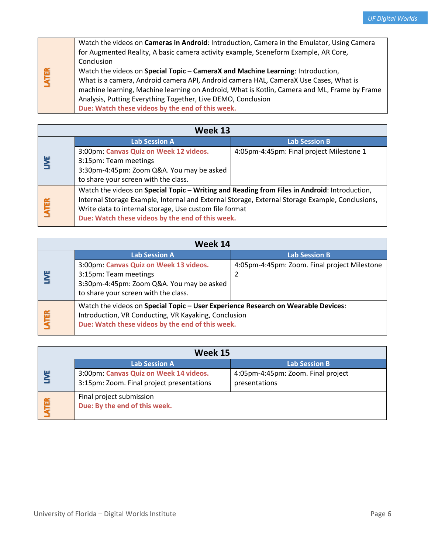|             | Watch the videos on Cameras in Android: Introduction, Camera in the Emulator, Using Camera   |
|-------------|----------------------------------------------------------------------------------------------|
| <b>ATER</b> | for Augmented Reality, A basic camera activity example, Sceneform Example, AR Core,          |
|             | Conclusion                                                                                   |
|             | Watch the videos on Special Topic - CameraX and Machine Learning: Introduction,              |
|             | What is a camera, Android camera API, Android camera HAL, CameraX Use Cases, What is         |
|             | machine learning, Machine learning on Android, What is Kotlin, Camera and ML, Frame by Frame |
|             | Analysis, Putting Everything Together, Live DEMO, Conclusion                                 |
|             | Due: Watch these videos by the end of this week.                                             |

| Week 13 |                                                                                                 |                                          |  |
|---------|-------------------------------------------------------------------------------------------------|------------------------------------------|--|
|         | <b>Lab Session A</b>                                                                            | <b>Lab Session B</b>                     |  |
| y       | 3:00pm: Canvas Quiz on Week 12 videos.                                                          | 4:05pm-4:45pm: Final project Milestone 1 |  |
|         | 3:15pm: Team meetings                                                                           |                                          |  |
|         | 3:30pm-4:45pm: Zoom Q&A. You may be asked                                                       |                                          |  |
|         | to share your screen with the class.                                                            |                                          |  |
|         | Watch the videos on Special Topic - Writing and Reading from Files in Android: Introduction,    |                                          |  |
|         | Internal Storage Example, Internal and External Storage, External Storage Example, Conclusions, |                                          |  |
| LATER   | Write data to internal storage, Use custom file format                                          |                                          |  |
|         | Due: Watch these videos by the end of this week.                                                |                                          |  |

| Week 14                                          |                                                                                   |                                              |  |
|--------------------------------------------------|-----------------------------------------------------------------------------------|----------------------------------------------|--|
|                                                  | <b>Lab Session A</b>                                                              | <b>Lab Session B</b>                         |  |
|                                                  | 3:00pm: Canvas Quiz on Week 13 videos.                                            | 4:05pm-4:45pm: Zoom. Final project Milestone |  |
|                                                  | 3:15pm: Team meetings                                                             | 2                                            |  |
|                                                  | 3:30pm-4:45pm: Zoom Q&A. You may be asked                                         |                                              |  |
|                                                  | to share your screen with the class.                                              |                                              |  |
|                                                  | Watch the videos on Special Topic - User Experience Research on Wearable Devices: |                                              |  |
| <b>ATER</b>                                      | Introduction, VR Conducting, VR Kayaking, Conclusion                              |                                              |  |
| Due: Watch these videos by the end of this week. |                                                                                   |                                              |  |

| Week 15    |                                                                                     |                                                     |  |
|------------|-------------------------------------------------------------------------------------|-----------------------------------------------------|--|
|            | <b>Lab Session A</b>                                                                | <b>Lab Session B</b>                                |  |
| ш          | 3:00pm: Canvas Quiz on Week 14 videos.<br>3:15pm: Zoom. Final project presentations | 4:05pm-4:45pm: Zoom. Final project<br>presentations |  |
| <b>TER</b> | Final project submission<br>Due: By the end of this week.                           |                                                     |  |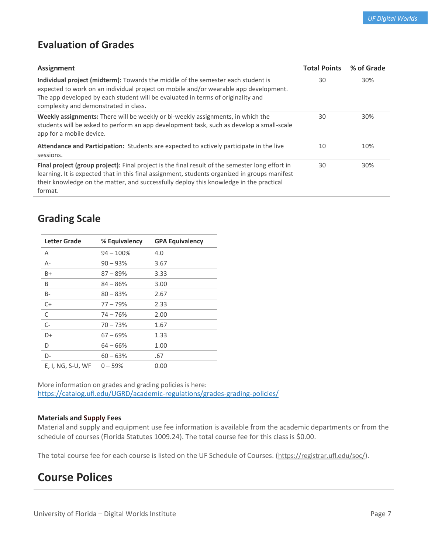# **Evaluation of Grades**

| <b>Assignment</b>                                                                                                                                                                                                                                                                                     | <b>Total Points</b> | % of Grade |
|-------------------------------------------------------------------------------------------------------------------------------------------------------------------------------------------------------------------------------------------------------------------------------------------------------|---------------------|------------|
| Individual project (midterm): Towards the middle of the semester each student is<br>expected to work on an individual project on mobile and/or wearable app development.<br>The app developed by each student will be evaluated in terms of originality and<br>complexity and demonstrated in class.  | 30                  | 30%        |
| Weekly assignments: There will be weekly or bi-weekly assignments, in which the<br>students will be asked to perform an app development task, such as develop a small-scale<br>app for a mobile device.                                                                                               | 30                  | 30%        |
| Attendance and Participation: Students are expected to actively participate in the live<br>sessions.                                                                                                                                                                                                  | 10                  | 10%        |
| Final project (group project): Final project is the final result of the semester long effort in<br>learning. It is expected that in this final assignment, students organized in groups manifest<br>their knowledge on the matter, and successfully deploy this knowledge in the practical<br>format. | 30                  | 30%        |

# **Grading Scale**

| <b>Letter Grade</b> | % Equivalency | <b>GPA Equivalency</b> |
|---------------------|---------------|------------------------|
| A                   | $94 - 100\%$  | 4.0                    |
| $A -$               | $90 - 93%$    | 3.67                   |
| B+                  | $87 - 89\%$   | 3.33                   |
| B                   | $84 - 86%$    | 3.00                   |
| B-                  | $80 - 83%$    | 2.67                   |
| $C+$                | $77 - 79%$    | 2.33                   |
| C                   | $74 - 76%$    | 2.00                   |
| $C-$                | $70 - 73%$    | 1.67                   |
| D+                  | $67 - 69%$    | 1.33                   |
| D                   | $64 - 66%$    | 1.00                   |
| D-                  | $60 - 63%$    | .67                    |
| $E, I, NG, S-U, WF$ | $0 - 59%$     | 0.00                   |

More information on grades and grading policies is here: <https://catalog.ufl.edu/UGRD/academic-regulations/grades-grading-policies/>

### **Materials and Supply Fees**

Material and supply and equipment use fee information is available from the academic departments or from the schedule of courses (Florida Statutes 1009.24). The total course fee for this class is \$0.00.

The total course fee for each course is listed on the UF Schedule of Courses. (<https://registrar.ufl.edu/soc/>).

# **Course Polices**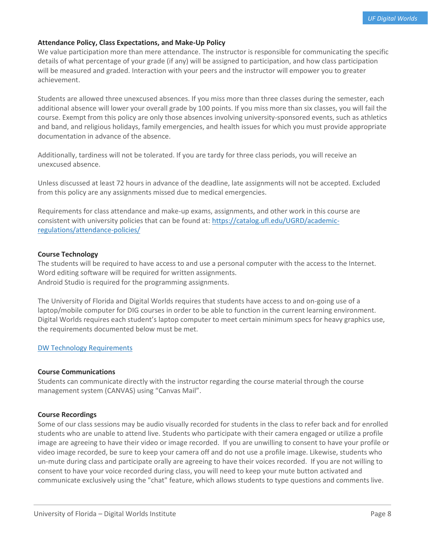## **Attendance Policy, Class Expectations, and Make-Up Policy**

We value participation more than mere attendance. The instructor is responsible for communicating the specific details of what percentage of your grade (if any) will be assigned to participation, and how class participation will be measured and graded. Interaction with your peers and the instructor will empower you to greater achievement.

Students are allowed three unexcused absences. If you miss more than three classes during the semester, each additional absence will lower your overall grade by 100 points. If you miss more than six classes, you will fail the course. Exempt from this policy are only those absences involving university-sponsored events, such as athletics and band, and religious holidays, family emergencies, and health issues for which you must provide appropriate documentation in advance of the absence.

Additionally, tardiness will not be tolerated. If you are tardy for three class periods, you will receive an unexcused absence.

Unless discussed at least 72 hours in advance of the deadline, late assignments will not be accepted. Excluded from this policy are any assignments missed due to medical emergencies.

Requirements for class attendance and make-up exams, assignments, and other work in this course are consistent with university policies that can be found at: [https://catalog.ufl.edu/UGRD/academic](https://catalog.ufl.edu/UGRD/academic-regulations/attendance-policies/)[regulations/attendance-policies/](https://catalog.ufl.edu/UGRD/academic-regulations/attendance-policies/)

#### **Course Technology**

The students will be required to have access to and use a personal computer with the access to the Internet. Word editing software will be required for written assignments. Android Studio is required for the programming assignments.

The University of Florida and Digital Worlds requires that students have access to and on-going use of a laptop/mobile computer for DIG courses in order to be able to function in the current learning environment. Digital Worlds requires each student's laptop computer to meet certain minimum specs for heavy graphics use, the requirements documented below must be met.

### [DW Technology](https://digitalworlds.ufl.edu/programs/ba-in-digital-arts-sciences/technology-requirements/) Requirements

#### **Course Communications**

Students can communicate directly with the instructor regarding the course material through the course management system (CANVAS) using "Canvas Mail".

#### **Course Recordings**

Some of our class sessions may be audio visually recorded for students in the class to refer back and for enrolled students who are unable to attend live. Students who participate with their camera engaged or utilize a profile image are agreeing to have their video or image recorded. If you are unwilling to consent to have your profile or video image recorded, be sure to keep your camera off and do not use a profile image. Likewise, students who un-mute during class and participate orally are agreeing to have their voices recorded. If you are not willing to consent to have your voice recorded during class, you will need to keep your mute button activated and communicate exclusively using the "chat" feature, which allows students to type questions and comments live.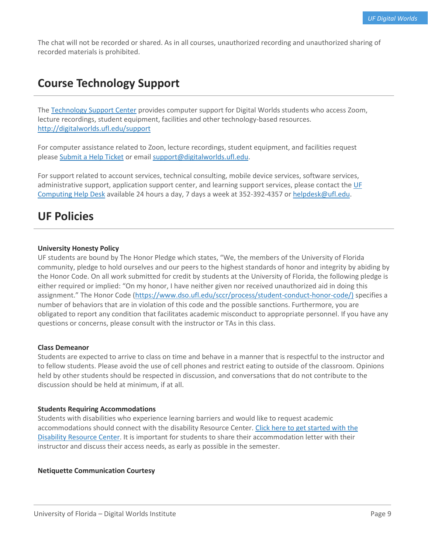The chat will not be recorded or shared. As in all courses, unauthorized recording and unauthorized sharing of recorded materials is prohibited.

# **Course Technology Support**

The [Technology Support Center](http://digitalworlds.ufl.edu/institute-information/student-support/tsc/) provides computer support for Digital Worlds students who access Zoom, lecture recordings, student equipment, facilities and other technology-based resources. <http://digitalworlds.ufl.edu/support>

For computer assistance related to Zoon, lecture recordings, student equipment, and facilities request please [Submit a Help Ticket](http://digitalworlds.ufl.edu/academics/digital-worlds-institute/forms/student-support/submit-a-help-ticket/) or email [support@digitalworlds.ufl.edu.](http://digitalworlds.ufl.edu/institute-information/student-support/tsc/support@digitalworlds.ufl.edu)

For support related to account services, technical consulting, mobile device services, software services, administrative support, application support center, and learning support services, please contact the [UF](mailto:UF%20Computing%20Help%20Desk)  [Computing Help Desk](mailto:UF%20Computing%20Help%20Desk) available 24 hours a day, 7 days a week at 352-392-4357 or [helpdesk@ufl.edu.](mailto:helpdesk@ufl.edu)

# **UF Policies**

#### **University Honesty Policy**

UF students are bound by The Honor Pledge which states, "We, the members of the University of Florida community, pledge to hold ourselves and our peers to the highest standards of honor and integrity by abiding by the Honor Code. On all work submitted for credit by students at the University of Florida, the following pledge is either required or implied: "On my honor, I have neither given nor received unauthorized aid in doing this assignment." The Honor Code (https://www.dso.ufl.edu/sccr/process/student-conduct-honor-code/) specifies a number of behaviors that are in violation of this code and the possible sanctions. Furthermore, you are obligated to report any condition that facilitates academic misconduct to appropriate personnel. If you have any questions or concerns, please consult with the instructor or TAs in this class.

#### **Class Demeanor**

Students are expected to arrive to class on time and behave in a manner that is respectful to the instructor and to fellow students. Please avoid the use of cell phones and restrict eating to outside of the classroom. Opinions held by other students should be respected in discussion, and conversations that do not contribute to the discussion should be held at minimum, if at all.

#### **Students Requiring Accommodations**

Students with disabilities who experience learning barriers and would like to request academic accommodations should connect with the disability Resource Center. [Click here to get started with the](https://disability.ufl.edu/students/get-started/)  [Disability Resource Center.](https://disability.ufl.edu/students/get-started/) It is important for students to share their accommodation letter with their instructor and discuss their access needs, as early as possible in the semester.

#### **Netiquette Communication Courtesy**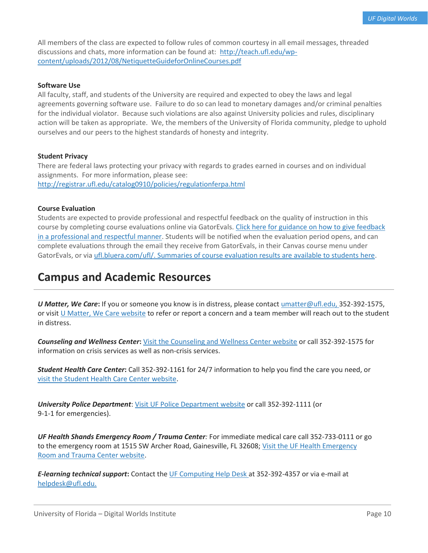All members of the class are expected to follow rules of common courtesy in all email messages, threaded discussions and chats, more information can be found at: [http://teach.ufl.edu/wp](http://teach.ufl.edu/wp-content/uploads/2012/08/NetiquetteGuideforOnlineCourses.pdf)[content/uploads/2012/08/NetiquetteGuideforOnlineCourses.pdf](http://teach.ufl.edu/wp-content/uploads/2012/08/NetiquetteGuideforOnlineCourses.pdf)

#### **Software Use**

All faculty, staff, and students of the University are required and expected to obey the laws and legal agreements governing software use. Failure to do so can lead to monetary damages and/or criminal penalties for the individual violator. Because such violations are also against University policies and rules, disciplinary action will be taken as appropriate. We, the members of the University of Florida community, pledge to uphold ourselves and our peers to the highest standards of honesty and integrity.

#### **Student Privacy**

There are federal laws protecting your privacy with regards to grades earned in courses and on individual assignments. For more information, please see: <http://registrar.ufl.edu/catalog0910/policies/regulationferpa.html>

#### **Course Evaluation**

Students are expected to provide professional and respectful feedback on the quality of instruction in this course by completing course evaluations online via GatorEvals. [Click here for guidance on how to give feedback](file:///C:/Users/lilyrlewis/AppData/Local/Microsoft/Windows/INetCache/Content.Outlook/LU96BFUU/gatorevals.aa.ufl.edu/students/)  [in a professional and respectful manner.](file:///C:/Users/lilyrlewis/AppData/Local/Microsoft/Windows/INetCache/Content.Outlook/LU96BFUU/gatorevals.aa.ufl.edu/students/) Students will be notified when the evaluation period opens, and can complete evaluations through the email they receive from GatorEvals, in their Canvas course menu under GatorEvals, or vi[a ufl.bluera.com/ufl/.](https://ufl.bluera.com/ufl/) [Summaries of course evaluation results are available to students here.](https://gatorevals.aa.ufl.edu/public-results/)

# **Campus and Academic Resources**

*U Matter, We Care***:** If you or someone you know is in distress, please contact [umatter@ufl.edu, 3](mailto:umatter@ufl.edu)52-392-1575, or visi[t U Matter, We Care website](https://umatter.ufl.edu/) to refer or report a concern and a team member will reach out to the student in distress.

*Counseling and Wellness Center***:** [Visit the Counseling and Wellness Center website](https://counseling.ufl.edu/) or call 352-392-1575 for information on crisis services as well as non-crisis services.

*Student Health Care Center***:** Call 352-392-1161 for 24/7 information to help you find the care you need, or [visit the Student Health Care Center website.](https://shcc.ufl.edu/)

*University Police Department*: [Visit UF Police Department website](https://police.ufl.edu/) or call 352-392-1111 (or 9-1-1 for emergencies).

*UF Health Shands Emergency Room / Trauma Center:* For immediate medical care call 352-733-0111 or go to the emergency room at 1515 SW Archer Road, Gainesville, FL 32608; [Visit the UF Health Emergency](https://ufhealth.org/emergency-room-trauma-center)  [Room and Trauma Center website.](https://ufhealth.org/emergency-room-trauma-center)

*E-learning technical support*: Contact the [UF Computing Help Desk a](http://helpdesk.ufl.edu/)t 352-392-4357 or via e-mail at [helpdesk@ufl.edu.](mailto:helpdesk@ufl.edu)